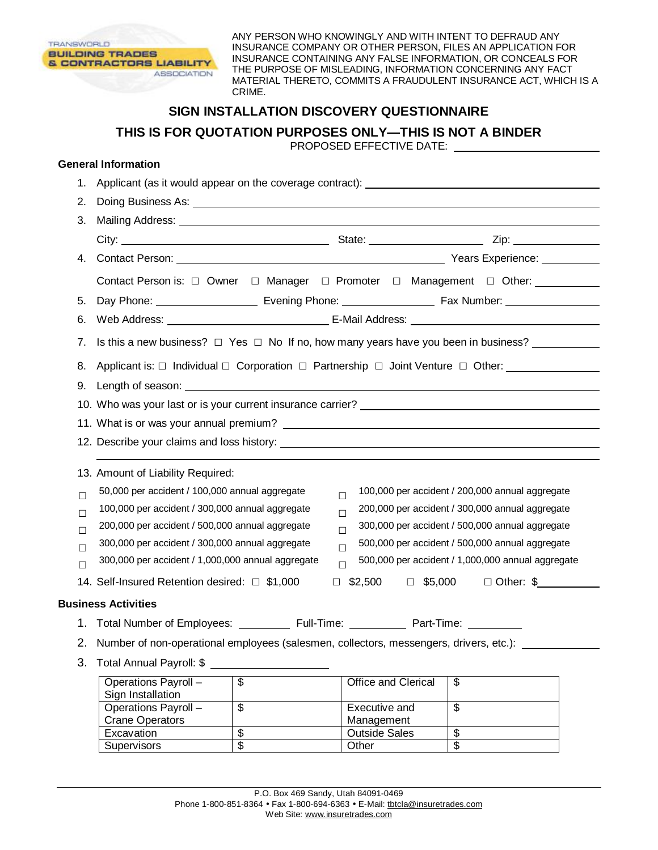

ANY PERSON WHO KNOWINGLY AND WITH INTENT TO DEFRAUD ANY INSURANCE COMPANY OR OTHER PERSON, FILES AN APPLICATION FOR INSURANCE CONTAINING ANY FALSE INFORMATION, OR CONCEALS FOR THE PURPOSE OF MISLEADING, INFORMATION CONCERNING ANY FACT MATERIAL THERETO, COMMITS A FRAUDULENT INSURANCE ACT, WHICH IS A CRIME.

## **SIGN INSTALLATION DISCOVERY QUESTIONNAIRE**

**THIS IS FOR QUOTATION PURPOSES ONLY—THIS IS NOT A BINDER** 

PROPOSED EFFECTIVE DATE:

## **General Information**

| 1.     | Applicant (as it would appear on the coverage contract): ________________________                                 |                          |                                                                                                                                                                                                                                |                                                 |  |  |
|--------|-------------------------------------------------------------------------------------------------------------------|--------------------------|--------------------------------------------------------------------------------------------------------------------------------------------------------------------------------------------------------------------------------|-------------------------------------------------|--|--|
| 2.     |                                                                                                                   |                          |                                                                                                                                                                                                                                |                                                 |  |  |
| 3.     |                                                                                                                   |                          |                                                                                                                                                                                                                                |                                                 |  |  |
|        |                                                                                                                   |                          |                                                                                                                                                                                                                                |                                                 |  |  |
| 4.     |                                                                                                                   |                          |                                                                                                                                                                                                                                |                                                 |  |  |
|        | Contact Person is: □ Owner □ Manager □ Promoter □ Management □ Other: _________                                   |                          |                                                                                                                                                                                                                                |                                                 |  |  |
| 5.     |                                                                                                                   |                          | Day Phone: Contract Evening Phone: Contract Phone: Contract Phone: Contract Phone: Contract Phone: Contract Phone: Contract Phone: Contract Phone: Contract Phone: Contract Phone: Contract Phone: Contract Phone: Contract Ph |                                                 |  |  |
| 6.     |                                                                                                                   |                          |                                                                                                                                                                                                                                |                                                 |  |  |
| 7.     | Is this a new business? $\Box$ Yes $\Box$ No If no, how many years have you been in business?                     |                          |                                                                                                                                                                                                                                |                                                 |  |  |
|        | 8. Applicant is: □ Individual □ Corporation □ Partnership □ Joint Venture □ Other: _______________                |                          |                                                                                                                                                                                                                                |                                                 |  |  |
|        |                                                                                                                   |                          |                                                                                                                                                                                                                                |                                                 |  |  |
|        |                                                                                                                   |                          |                                                                                                                                                                                                                                |                                                 |  |  |
|        |                                                                                                                   |                          |                                                                                                                                                                                                                                |                                                 |  |  |
|        |                                                                                                                   |                          |                                                                                                                                                                                                                                |                                                 |  |  |
|        | 13. Amount of Liability Required:                                                                                 |                          |                                                                                                                                                                                                                                |                                                 |  |  |
| $\Box$ | 50,000 per accident / 100,000 annual aggregate                                                                    |                          |                                                                                                                                                                                                                                | 100,000 per accident / 200,000 annual aggregate |  |  |
| $\Box$ | $\Box$<br>100,000 per accident / 300,000 annual aggregate<br>200,000 per accident / 300,000 annual aggregate<br>П |                          |                                                                                                                                                                                                                                |                                                 |  |  |
| $\Box$ | 300,000 per accident / 500,000 annual aggregate<br>200,000 per accident / 500,000 annual aggregate<br>$\Box$      |                          |                                                                                                                                                                                                                                |                                                 |  |  |
| $\Box$ | 300,000 per accident / 300,000 annual aggregate<br>500,000 per accident / 500,000 annual aggregate<br>$\Box$      |                          |                                                                                                                                                                                                                                |                                                 |  |  |
| П      | 300,000 per accident / 1,000,000 annual aggregate<br>500,000 per accident / 1,000,000 annual aggregate<br>П       |                          |                                                                                                                                                                                                                                |                                                 |  |  |
|        | 14. Self-Insured Retention desired: □ \$1,000                                                                     | $\Box$                   |                                                                                                                                                                                                                                | $$2,500$ $\Box$ \$5,000 $\Box$ Other: \$        |  |  |
|        | <b>Business Activities</b>                                                                                        |                          |                                                                                                                                                                                                                                |                                                 |  |  |
|        | 1. Total Number of Employees: ___________ Full-Time: ___________ Part-Time: _________                             |                          |                                                                                                                                                                                                                                |                                                 |  |  |
|        | 2. Number of non-operational employees (salesmen, collectors, messengers, drivers, etc.): _______                 |                          |                                                                                                                                                                                                                                |                                                 |  |  |
|        | 3. Total Annual Payroll: \$                                                                                       |                          |                                                                                                                                                                                                                                |                                                 |  |  |
|        | Operations Payroll -<br>Sign Installation                                                                         | $\overline{\$}$          | Office and Clerical                                                                                                                                                                                                            | \$                                              |  |  |
|        | Operations Payroll -<br><b>Crane Operators</b>                                                                    | $\overline{\mathcal{S}}$ | Executive and<br>Management                                                                                                                                                                                                    | $\overline{\$}$                                 |  |  |
|        | Excavation                                                                                                        | \$                       | <b>Outside Sales</b>                                                                                                                                                                                                           | \$                                              |  |  |
|        | Supervisors                                                                                                       | $\overline{\$}$          | Other                                                                                                                                                                                                                          | $\overline{\$}$                                 |  |  |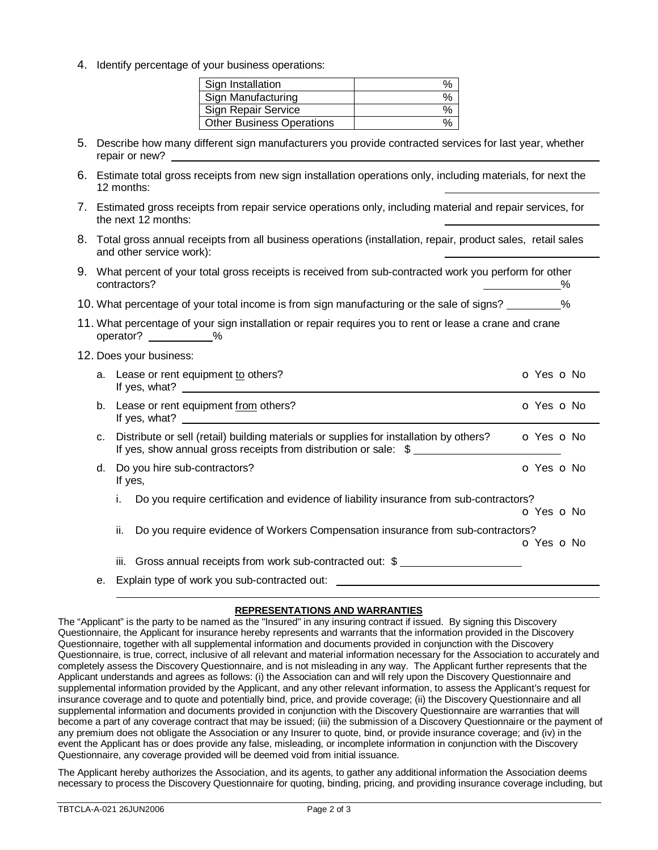4. Identify percentage of your business operations:

| Sign Installation                |  |
|----------------------------------|--|
| Sign Manufacturing               |  |
| Sign Repair Service              |  |
| <b>Other Business Operations</b> |  |

- 5. Describe how many different sign manufacturers you provide contracted services for last year, whether repair or new?
- 6. Estimate total gross receipts from new sign installation operations only, including materials, for next the 12 months:
- 7. Estimated gross receipts from repair service operations only, including material and repair services, for the next 12 months:
- 8. Total gross annual receipts from all business operations (installation, repair, product sales, retail sales and other service work):
- 9. What percent of your total gross receipts is received from sub-contracted work you perform for other contractors?  $\%$
- 10. What percentage of your total income is from sign manufacturing or the sale of signs? \_\_\_\_\_\_\_\_ %
- 11. What percentage of your sign installation or repair requires you to rent or lease a crane and crane operator? %
- 12. Does your business:

|    | a. Lease or rent equipment to others?<br>If yes, what? $\qquad \qquad$                                                                                     | o Yes o No     |
|----|------------------------------------------------------------------------------------------------------------------------------------------------------------|----------------|
|    | b. Lease or rent equipment from others?<br>If yes, what? $\qquad \qquad$                                                                                   | o Yes o No     |
| C. | Distribute or sell (retail) building materials or supplies for installation by others?<br>If yes, show annual gross receipts from distribution or sale: \$ | $O$ Yes $O$ No |
| d. | Do you hire sub-contractors?<br>If yes,                                                                                                                    | O Yes O No     |
|    | Do you require certification and evidence of liability insurance from sub-contractors?<br>L.                                                               | o Yes o No     |
|    | ii.<br>Do you require evidence of Workers Compensation insurance from sub-contractors?                                                                     | o Yes o No     |
|    | iii. Gross annual receipts from work sub-contracted out: \$                                                                                                |                |
| е. | Explain type of work you sub-contracted out: ___________________________________                                                                           |                |
|    |                                                                                                                                                            |                |

## **REPRESENTATIONS AND WARRANTIES**

The "Applicant" is the party to be named as the "Insured" in any insuring contract if issued. By signing this Discovery Questionnaire, the Applicant for insurance hereby represents and warrants that the information provided in the Discovery Questionnaire, together with all supplemental information and documents provided in conjunction with the Discovery Questionnaire, is true, correct, inclusive of all relevant and material information necessary for the Association to accurately and completely assess the Discovery Questionnaire, and is not misleading in any way. The Applicant further represents that the Applicant understands and agrees as follows: (i) the Association can and will rely upon the Discovery Questionnaire and supplemental information provided by the Applicant, and any other relevant information, to assess the Applicant's request for insurance coverage and to quote and potentially bind, price, and provide coverage; (ii) the Discovery Questionnaire and all supplemental information and documents provided in conjunction with the Discovery Questionnaire are warranties that will become a part of any coverage contract that may be issued; (iii) the submission of a Discovery Questionnaire or the payment of any premium does not obligate the Association or any Insurer to quote, bind, or provide insurance coverage; and (iv) in the event the Applicant has or does provide any false, misleading, or incomplete information in conjunction with the Discovery Questionnaire, any coverage provided will be deemed void from initial issuance.

The Applicant hereby authorizes the Association, and its agents, to gather any additional information the Association deems necessary to process the Discovery Questionnaire for quoting, binding, pricing, and providing insurance coverage including, but